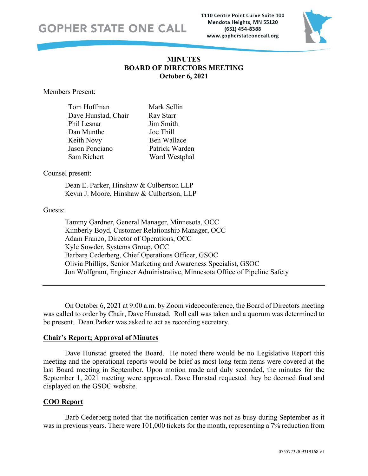### **GOPHER STATE ONE CALL**

1110 Centre Point Curve Suite 100 Mendota Heights, MN 55120 (651) 454-8388 www.gopherstateonecall.org



#### **MINUTES BOARD OF DIRECTORS MEETING October 6, 2021**

Members Present:

| Tom Hoffman         | Mark Sellin    |
|---------------------|----------------|
| Dave Hunstad, Chair | Ray Starr      |
| Phil Lesnar         | Jim Smith      |
| Dan Munthe          | Joe Thill      |
| Keith Novy          | Ben Wallace    |
| Jason Ponciano      | Patrick Warden |
| Sam Richert         | Ward Westphal  |

#### Counsel present:

Dean E. Parker, Hinshaw & Culbertson LLP Kevin J. Moore, Hinshaw & Culbertson, LLP

#### Guests:

Tammy Gardner, General Manager, Minnesota, OCC Kimberly Boyd, Customer Relationship Manager, OCC Adam Franco, Director of Operations, OCC Kyle Sowder, Systems Group, OCC Barbara Cederberg, Chief Operations Officer, GSOC Olivia Phillips, Senior Marketing and Awareness Specialist, GSOC Jon Wolfgram, Engineer Administrative, Minnesota Office of Pipeline Safety

On October 6, 2021 at 9:00 a.m. by Zoom videoconference, the Board of Directors meeting was called to order by Chair, Dave Hunstad. Roll call was taken and a quorum was determined to be present. Dean Parker was asked to act as recording secretary.

#### **Chair's Report; Approval of Minutes**

Dave Hunstad greeted the Board. He noted there would be no Legislative Report this meeting and the operational reports would be brief as most long term items were covered at the last Board meeting in September. Upon motion made and duly seconded, the minutes for the September 1, 2021 meeting were approved. Dave Hunstad requested they be deemed final and displayed on the GSOC website.

#### **COO Report**

Barb Cederberg noted that the notification center was not as busy during September as it was in previous years. There were 101,000 tickets for the month, representing a 7% reduction from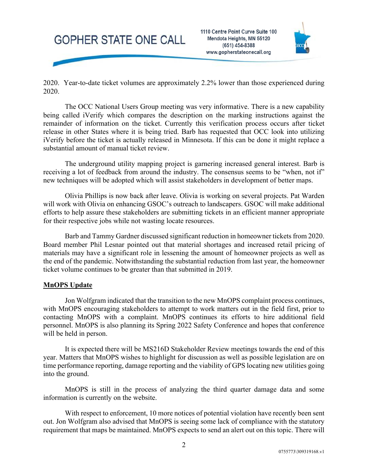# **GOPHER STATE ONE CALL**



2020. Year-to-date ticket volumes are approximately 2.2% lower than those experienced during 2020.

The OCC National Users Group meeting was very informative. There is a new capability being called iVerify which compares the description on the marking instructions against the remainder of information on the ticket. Currently this verification process occurs after ticket release in other States where it is being tried. Barb has requested that OCC look into utilizing iVerify before the ticket is actually released in Minnesota. If this can be done it might replace a substantial amount of manual ticket review.

The underground utility mapping project is garnering increased general interest. Barb is receiving a lot of feedback from around the industry. The consensus seems to be "when, not if" new techniques will be adopted which will assist stakeholders in development of better maps.

Olivia Phillips is now back after leave. Olivia is working on several projects. Pat Warden will work with Olivia on enhancing GSOC's outreach to landscapers. GSOC will make additional efforts to help assure these stakeholders are submitting tickets in an efficient manner appropriate for their respective jobs while not wasting locate resources.

Barb and Tammy Gardner discussed significant reduction in homeowner tickets from 2020. Board member Phil Lesnar pointed out that material shortages and increased retail pricing of materials may have a significant role in lessening the amount of homeowner projects as well as the end of the pandemic. Notwithstanding the substantial reduction from last year, the homeowner ticket volume continues to be greater than that submitted in 2019.

#### **MnOPS Update**

Jon Wolfgram indicated that the transition to the new MnOPS complaint process continues, with MnOPS encouraging stakeholders to attempt to work matters out in the field first, prior to contacting MnOPS with a complaint. MnOPS continues its efforts to hire additional field personnel. MnOPS is also planning its Spring 2022 Safety Conference and hopes that conference will be held in person.

It is expected there will be MS216D Stakeholder Review meetings towards the end of this year. Matters that MnOPS wishes to highlight for discussion as well as possible legislation are on time performance reporting, damage reporting and the viability of GPS locating new utilities going into the ground.

MnOPS is still in the process of analyzing the third quarter damage data and some information is currently on the website.

With respect to enforcement, 10 more notices of potential violation have recently been sent out. Jon Wolfgram also advised that MnOPS is seeing some lack of compliance with the statutory requirement that maps be maintained. MnOPS expects to send an alert out on this topic. There will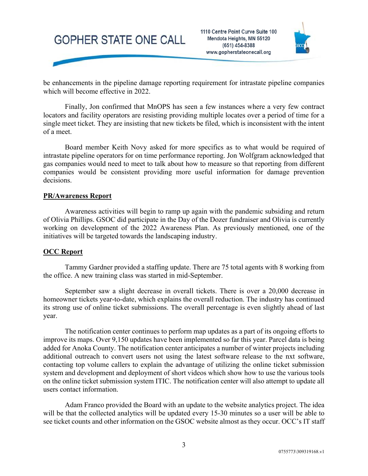## **GOPHER STATE ONE CALL**



be enhancements in the pipeline damage reporting requirement for intrastate pipeline companies which will become effective in 2022.

Finally, Jon confirmed that MnOPS has seen a few instances where a very few contract locators and facility operators are resisting providing multiple locates over a period of time for a single meet ticket. They are insisting that new tickets be filed, which is inconsistent with the intent of a meet.

Board member Keith Novy asked for more specifics as to what would be required of intrastate pipeline operators for on time performance reporting. Jon Wolfgram acknowledged that gas companies would need to meet to talk about how to measure so that reporting from different companies would be consistent providing more useful information for damage prevention decisions.

#### **PR/Awareness Report**

Awareness activities will begin to ramp up again with the pandemic subsiding and return of Olivia Phillips. GSOC did participate in the Day of the Dozer fundraiser and Olivia is currently working on development of the 2022 Awareness Plan. As previously mentioned, one of the initiatives will be targeted towards the landscaping industry.

#### **OCC Report**

Tammy Gardner provided a staffing update. There are 75 total agents with 8 working from the office. A new training class was started in mid-September.

September saw a slight decrease in overall tickets. There is over a 20,000 decrease in homeowner tickets year-to-date, which explains the overall reduction. The industry has continued its strong use of online ticket submissions. The overall percentage is even slightly ahead of last year.

The notification center continues to perform map updates as a part of its ongoing efforts to improve its maps. Over 9,150 updates have been implemented so far this year. Parcel data is being added for Anoka County. The notification center anticipates a number of winter projects including additional outreach to convert users not using the latest software release to the nxt software, contacting top volume callers to explain the advantage of utilizing the online ticket submission system and development and deployment of short videos which show how to use the various tools on the online ticket submission system ITIC. The notification center will also attempt to update all users contact information.

Adam Franco provided the Board with an update to the website analytics project. The idea will be that the collected analytics will be updated every 15-30 minutes so a user will be able to see ticket counts and other information on the GSOC website almost as they occur. OCC's IT staff